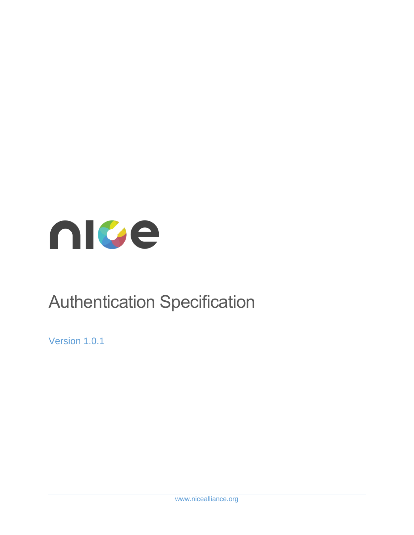

# Authentication Specification

Version 1.0.1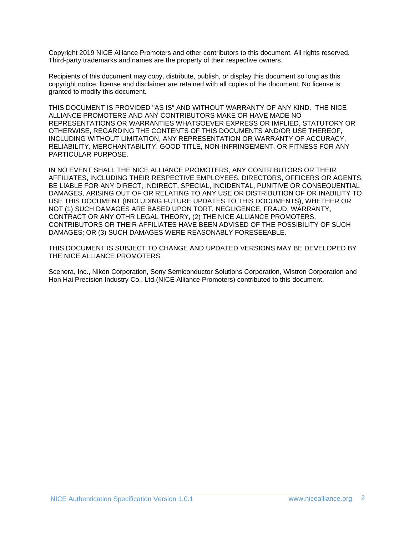Copyright 2019 NICE Alliance Promoters and other contributors to this document. All rights reserved. Third-party trademarks and names are the property of their respective owners.

Recipients of this document may copy, distribute, publish, or display this document so long as this copyright notice, license and disclaimer are retained with all copies of the document. No license is granted to modify this document.

THIS DOCUMENT IS PROVIDED "AS IS" AND WITHOUT WARRANTY OF ANY KIND. THE NICE ALLIANCE PROMOTERS AND ANY CONTRIBUTORS MAKE OR HAVE MADE NO REPRESENTATIONS OR WARRANTIES WHATSOEVER EXPRESS OR IMPLIED, STATUTORY OR OTHERWISE, REGARDING THE CONTENTS OF THIS DOCUMENTS AND/OR USE THEREOF, INCLUDING WITHOUT LIMITATION, ANY REPRESENTATION OR WARRANTY OF ACCURACY, RELIABILITY, MERCHANTABILITY, GOOD TITLE, NON-INFRINGEMENT, OR FITNESS FOR ANY PARTICULAR PURPOSE.

IN NO EVENT SHALL THE NICE ALLIANCE PROMOTERS, ANY CONTRIBUTORS OR THEIR AFFILIATES, INCLUDING THEIR RESPECTIVE EMPLOYEES, DIRECTORS, OFFICERS OR AGENTS, BE LIABLE FOR ANY DIRECT, INDIRECT, SPECIAL, INCIDENTAL, PUNITIVE OR CONSEQUENTIAL DAMAGES, ARISING OUT OF OR RELATING TO ANY USE OR DISTRIBUTION OF OR INABILITY TO USE THIS DOCUMENT (INCLUDING FUTURE UPDATES TO THIS DOCUMENTS), WHETHER OR NOT (1) SUCH DAMAGES ARE BASED UPON TORT, NEGLIGENCE, FRAUD, WARRANTY, CONTRACT OR ANY OTHR LEGAL THEORY, (2) THE NICE ALLIANCE PROMOTERS, CONTRIBUTORS OR THEIR AFFILIATES HAVE BEEN ADVISED OF THE POSSIBILITY OF SUCH DAMAGES; OR (3) SUCH DAMAGES WERE REASONABLY FORESEEABLE.

THIS DOCUMENT IS SUBJECT TO CHANGE AND UPDATED VERSIONS MAY BE DEVELOPED BY THE NICE ALLIANCE PROMOTERS.

Scenera, Inc., Nikon Corporation, Sony Semiconductor Solutions Corporation, Wistron Corporation and Hon Hai Precision Industry Co., Ltd.(NICE Alliance Promoters) contributed to this document.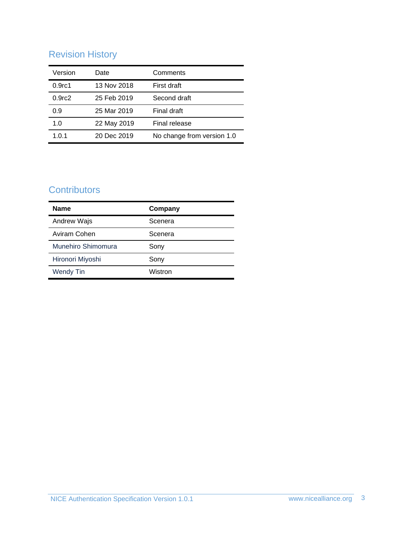# Revision History

| Version            | Date        | Comments                   |
|--------------------|-------------|----------------------------|
| 0.9 <sub>rc1</sub> | 13 Nov 2018 | First draft                |
| 0.9 <sub>rc2</sub> | 25 Feb 2019 | Second draft               |
| 0.9                | 25 Mar 2019 | Final draft                |
| 1.0                | 22 May 2019 | Final release              |
| 1.0.1              | 20 Dec 2019 | No change from version 1.0 |

# **Contributors**

| <b>Name</b>        | Company |
|--------------------|---------|
| Andrew Wajs        | Scenera |
| Aviram Cohen       | Scenera |
| Munehiro Shimomura | Sony    |
| Hironori Miyoshi   | Sony    |
| <b>Wendy Tin</b>   | Wistron |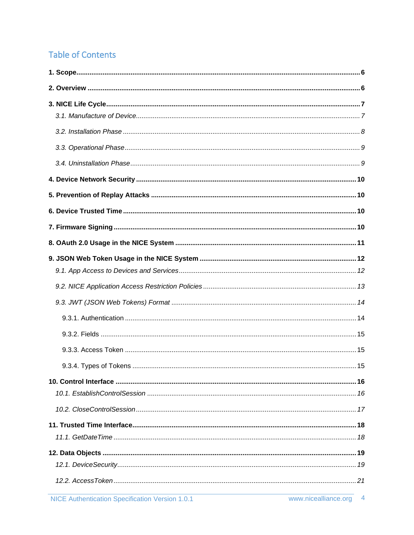# **Table of Contents**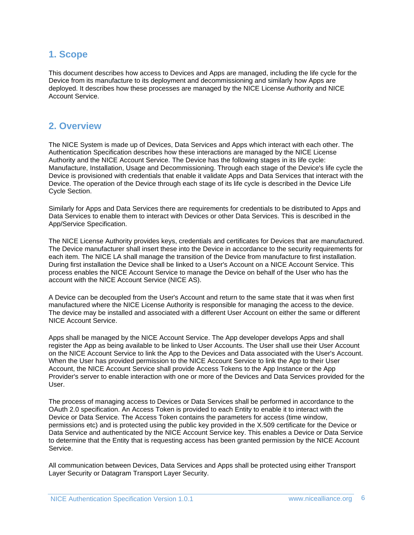### <span id="page-5-0"></span>**1. Scope**

This document describes how access to Devices and Apps are managed, including the life cycle for the Device from its manufacture to its deployment and decommissioning and similarly how Apps are deployed. It describes how these processes are managed by the NICE License Authority and NICE Account Service.

### <span id="page-5-1"></span>**2. Overview**

The NICE System is made up of Devices, Data Services and Apps which interact with each other. The Authentication Specification describes how these interactions are managed by the NICE License Authority and the NICE Account Service. The Device has the following stages in its life cycle: Manufacture, Installation, Usage and Decommissioning. Through each stage of the Device's life cycle the Device is provisioned with credentials that enable it validate Apps and Data Services that interact with the Device. The operation of the Device through each stage of its life cycle is described in the Device Life Cycle Section.

Similarly for Apps and Data Services there are requirements for credentials to be distributed to Apps and Data Services to enable them to interact with Devices or other Data Services. This is described in the App/Service Specification.

The NICE License Authority provides keys, credentials and certificates for Devices that are manufactured. The Device manufacturer shall insert these into the Device in accordance to the security requirements for each item. The NICE LA shall manage the transition of the Device from manufacture to first installation. During first installation the Device shall be linked to a User's Account on a NICE Account Service. This process enables the NICE Account Service to manage the Device on behalf of the User who has the account with the NICE Account Service (NICE AS).

A Device can be decoupled from the User's Account and return to the same state that it was when first manufactured where the NICE License Authority is responsible for managing the access to the device. The device may be installed and associated with a different User Account on either the same or different NICE Account Service.

Apps shall be managed by the NICE Account Service. The App developer develops Apps and shall register the App as being available to be linked to User Accounts. The User shall use their User Account on the NICE Account Service to link the App to the Devices and Data associated with the User's Account. When the User has provided permission to the NICE Account Service to link the App to their User Account, the NICE Account Service shall provide Access Tokens to the App Instance or the App Provider's server to enable interaction with one or more of the Devices and Data Services provided for the User.

The process of managing access to Devices or Data Services shall be performed in accordance to the OAuth 2.0 specification. An Access Token is provided to each Entity to enable it to interact with the Device or Data Service. The Access Token contains the parameters for access (time window, permissions etc) and is protected using the public key provided in the X.509 certificate for the Device or Data Service and authenticated by the NICE Account Service key. This enables a Device or Data Service to determine that the Entity that is requesting access has been granted permission by the NICE Account Service.

All communication between Devices, Data Services and Apps shall be protected using either Transport Layer Security or Datagram Transport Layer Security.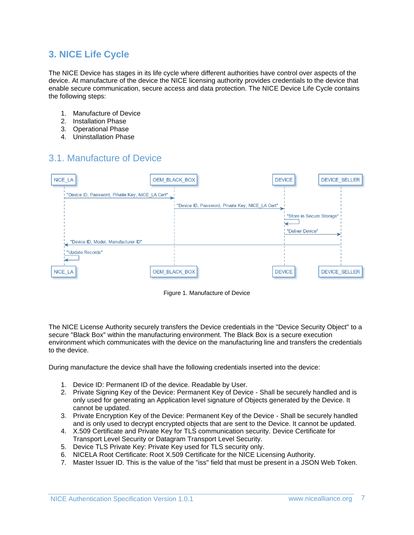### <span id="page-6-0"></span>**3. NICE Life Cycle**

The NICE Device has stages in its life cycle where different authorities have control over aspects of the device. At manufacture of the device the NICE licensing authority provides credentials to the device that enable secure communication, secure access and data protection. The NICE Device Life Cycle contains the following steps:

- 1. Manufacture of Device
- 2. Installation Phase
- 3. Operational Phase
- 4. Uninstallation Phase

### <span id="page-6-1"></span>3.1. Manufacture of Device



Figure 1. Manufacture of Device

The NICE License Authority securely transfers the Device credentials in the "Device Security Object" to a secure "Black Box" within the manufacturing environment. The Black Box is a secure execution environment which communicates with the device on the manufacturing line and transfers the credentials to the device.

During manufacture the device shall have the following credentials inserted into the device:

- 1. Device ID: Permanent ID of the device. Readable by User.
- 2. Private Signing Key of the Device: Permanent Key of Device Shall be securely handled and is only used for generating an Application level signature of Objects generated by the Device. It cannot be updated.
- 3. Private Encryption Key of the Device: Permanent Key of the Device Shall be securely handled and is only used to decrypt encrypted objects that are sent to the Device. It cannot be updated.
- 4. X.509 Certificate and Private Key for TLS communication security. Device Certificate for Transport Level Security or Datagram Transport Level Security.
- 5. Device TLS Private Key: Private Key used for TLS security only.
- 6. NICELA Root Certificate: Root X.509 Certificate for the NICE Licensing Authority.
- 7. Master Issuer ID. This is the value of the "iss" field that must be present in a JSON Web Token.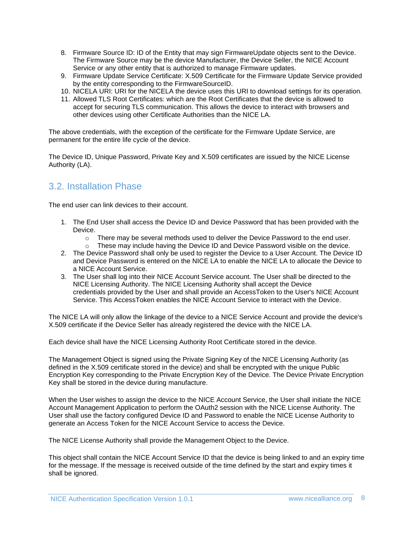- 8. Firmware Source ID: ID of the Entity that may sign FirmwareUpdate objects sent to the Device. The Firmware Source may be the device Manufacturer, the Device Seller, the NICE Account Service or any other entity that is authorized to manage Firmware updates.
- 9. Firmware Update Service Certificate: X.509 Certificate for the Firmware Update Service provided by the entity corresponding to the FirmwareSourceID.
- 10. NICELA URI: URI for the NICELA the device uses this URI to download settings for its operation.
- 11. Allowed TLS Root Certificates: which are the Root Certificates that the device is allowed to accept for securing TLS communication. This allows the device to interact with browsers and other devices using other Certificate Authorities than the NICE LA.

The above credentials, with the exception of the certificate for the Firmware Update Service, are permanent for the entire life cycle of the device.

The Device ID, Unique Password, Private Key and X.509 certificates are issued by the NICE License Authority (LA).

### <span id="page-7-0"></span>3.2. Installation Phase

The end user can link devices to their account.

- 1. The End User shall access the Device ID and Device Password that has been provided with the Device.
	- $\circ$  There may be several methods used to deliver the Device Password to the end user.
	- o These may include having the Device ID and Device Password visible on the device.
- 2. The Device Password shall only be used to register the Device to a User Account. The Device ID and Device Password is entered on the NICE LA to enable the NICE LA to allocate the Device to a NICE Account Service.
- 3. The User shall log into their NICE Account Service account. The User shall be directed to the NICE Licensing Authority. The NICE Licensing Authority shall accept the Device credentials provided by the User and shall provide an AccessToken to the User's NICE Account Service. This AccessToken enables the NICE Account Service to interact with the Device.

The NICE LA will only allow the linkage of the device to a NICE Service Account and provide the device's X.509 certificate if the Device Seller has already registered the device with the NICE LA.

Each device shall have the NICE Licensing Authority Root Certificate stored in the device.

The Management Object is signed using the Private Signing Key of the NICE Licensing Authority (as defined in the X.509 certificate stored in the device) and shall be encrypted with the unique Public Encryption Key corresponding to the Private Encryption Key of the Device. The Device Private Encryption Key shall be stored in the device during manufacture.

When the User wishes to assign the device to the NICE Account Service, the User shall initiate the NICE Account Management Application to perform the OAuth2 session with the NICE License Authority. The User shall use the factory configured Device ID and Password to enable the NICE License Authority to generate an Access Token for the NICE Account Service to access the Device.

The NICE License Authority shall provide the Management Object to the Device.

This object shall contain the NICE Account Service ID that the device is being linked to and an expiry time for the message. If the message is received outside of the time defined by the start and expiry times it shall be ignored.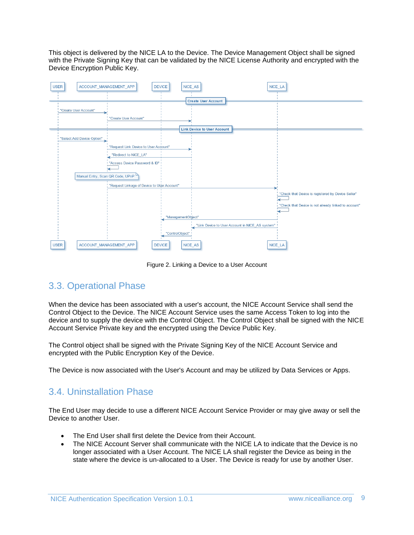This object is delivered by the NICE LA to the Device. The Device Management Object shall be signed with the Private Signing Key that can be validated by the NICE License Authority and encrypted with the Device Encryption Public Key.

| <b>USER</b>                | ACCOUNT_MANAGEMENT_APP<br><b>DEVICE</b>     | NICE_AS                            | NICE_LA                                         |                                                      |
|----------------------------|---------------------------------------------|------------------------------------|-------------------------------------------------|------------------------------------------------------|
|                            |                                             |                                    |                                                 |                                                      |
|                            |                                             | <b>Create User Account</b>         |                                                 |                                                      |
| "Create User Account"      |                                             |                                    |                                                 |                                                      |
|                            | "Create User Account"                       |                                    |                                                 |                                                      |
|                            |                                             | <b>Link Device to User Account</b> |                                                 |                                                      |
| "Select Add Device Option" |                                             |                                    |                                                 |                                                      |
|                            | "Request Link Device to User Account"       |                                    |                                                 |                                                      |
|                            | "Redirect to NICE_LA"                       |                                    |                                                 |                                                      |
|                            | "Access Device Password & ID"               |                                    |                                                 |                                                      |
|                            | Manual Entry, Scan QR Code, UPnP            |                                    |                                                 |                                                      |
|                            | "Request Linkage of Device to User Account" |                                    |                                                 |                                                      |
|                            |                                             |                                    |                                                 | "Check that Device is registered by Device Seller"   |
|                            |                                             |                                    |                                                 | "Check that Device is not already linked to account" |
|                            |                                             | "ManagementObject"                 | ↞                                               |                                                      |
|                            |                                             | "ControlObject"                    | "Link Device to User Account in NICE_AS system" |                                                      |
| <b>USER</b>                | ACCOUNT_MANAGEMENT_APP<br><b>DEVICE</b>     | NICE_AS                            | NICE_LA                                         |                                                      |

Figure 2. Linking a Device to a User Account

### <span id="page-8-0"></span>3.3. Operational Phase

When the device has been associated with a user's account, the NICE Account Service shall send the Control Object to the Device. The NICE Account Service uses the same Access Token to log into the device and to supply the device with the Control Object. The Control Object shall be signed with the NICE Account Service Private key and the encrypted using the Device Public Key.

The Control object shall be signed with the Private Signing Key of the NICE Account Service and encrypted with the Public Encryption Key of the Device.

The Device is now associated with the User's Account and may be utilized by Data Services or Apps.

### <span id="page-8-1"></span>3.4. Uninstallation Phase

The End User may decide to use a different NICE Account Service Provider or may give away or sell the Device to another User.

- The End User shall first delete the Device from their Account.
- The NICE Account Server shall communicate with the NICE LA to indicate that the Device is no longer associated with a User Account. The NICE LA shall register the Device as being in the state where the device is un-allocated to a User. The Device is ready for use by another User.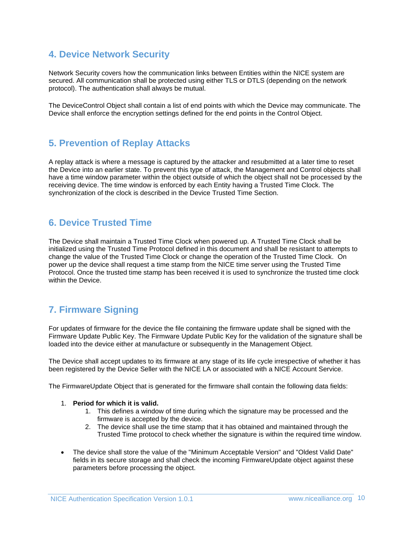### <span id="page-9-0"></span>**4. Device Network Security**

Network Security covers how the communication links between Entities within the NICE system are secured. All communication shall be protected using either TLS or DTLS (depending on the network protocol). The authentication shall always be mutual.

The DeviceControl Object shall contain a list of end points with which the Device may communicate. The Device shall enforce the encryption settings defined for the end points in the Control Object.

### <span id="page-9-1"></span>**5. Prevention of Replay Attacks**

A replay attack is where a message is captured by the attacker and resubmitted at a later time to reset the Device into an earlier state. To prevent this type of attack, the Management and Control objects shall have a time window parameter within the object outside of which the object shall not be processed by the receiving device. The time window is enforced by each Entity having a Trusted Time Clock. The synchronization of the clock is described in the Device Trusted Time Section.

### <span id="page-9-2"></span>**6. Device Trusted Time**

The Device shall maintain a Trusted Time Clock when powered up. A Trusted Time Clock shall be initialized using the Trusted Time Protocol defined in this document and shall be resistant to attempts to change the value of the Trusted Time Clock or change the operation of the Trusted Time Clock. On power up the device shall request a time stamp from the NICE time server using the Trusted Time Protocol. Once the trusted time stamp has been received it is used to synchronize the trusted time clock within the Device.

### <span id="page-9-3"></span>**7. Firmware Signing**

For updates of firmware for the device the file containing the firmware update shall be signed with the Firmware Update Public Key. The Firmware Update Public Key for the validation of the signature shall be loaded into the device either at manufacture or subsequently in the Management Object.

The Device shall accept updates to its firmware at any stage of its life cycle irrespective of whether it has been registered by the Device Seller with the NICE LA or associated with a NICE Account Service.

The FirmwareUpdate Object that is generated for the firmware shall contain the following data fields:

#### 1. **Period for which it is valid.**

- 1. This defines a window of time during which the signature may be processed and the firmware is accepted by the device.
- 2. The device shall use the time stamp that it has obtained and maintained through the Trusted Time protocol to check whether the signature is within the required time window.
- The device shall store the value of the "Minimum Acceptable Version" and "Oldest Valid Date" fields in its secure storage and shall check the incoming FirmwareUpdate object against these parameters before processing the object.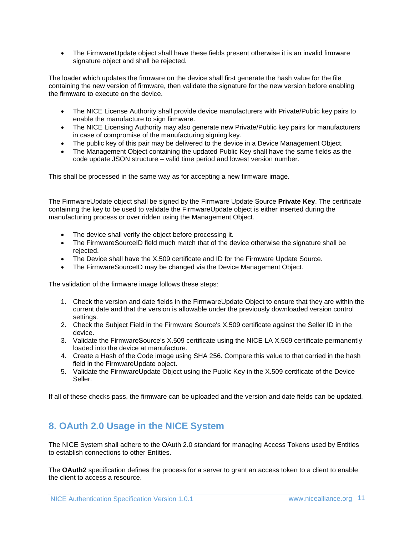• The FirmwareUpdate object shall have these fields present otherwise it is an invalid firmware signature object and shall be rejected.

The loader which updates the firmware on the device shall first generate the hash value for the file containing the new version of firmware, then validate the signature for the new version before enabling the firmware to execute on the device.

- The NICE License Authority shall provide device manufacturers with Private/Public key pairs to enable the manufacture to sign firmware.
- The NICE Licensing Authority may also generate new Private/Public key pairs for manufacturers in case of compromise of the manufacturing signing key.
- The public key of this pair may be delivered to the device in a Device Management Object.
- The Management Object containing the updated Public Key shall have the same fields as the code update JSON structure – valid time period and lowest version number.

This shall be processed in the same way as for accepting a new firmware image.

The FirmwareUpdate object shall be signed by the Firmware Update Source **Private Key**. The certificate containing the key to be used to validate the FirmwareUpdate object is either inserted during the manufacturing process or over ridden using the Management Object.

- The device shall verify the object before processing it.
- The FirmwareSourceID field much match that of the device otherwise the signature shall be rejected.
- The Device shall have the X.509 certificate and ID for the Firmware Update Source.
- The FirmwareSourceID may be changed via the Device Management Object.

The validation of the firmware image follows these steps:

- 1. Check the version and date fields in the FirmwareUpdate Object to ensure that they are within the current date and that the version is allowable under the previously downloaded version control settings.
- 2. Check the Subject Field in the Firmware Source's X.509 certificate against the Seller ID in the device.
- 3. Validate the FirmwareSource's X.509 certificate using the NICE LA X.509 certificate permanently loaded into the device at manufacture.
- 4. Create a Hash of the Code image using SHA 256. Compare this value to that carried in the hash field in the FirmwareUpdate object.
- 5. Validate the FirmwareUpdate Object using the Public Key in the X.509 certificate of the Device Seller.

If all of these checks pass, the firmware can be uploaded and the version and date fields can be updated.

### <span id="page-10-0"></span>**8. OAuth 2.0 Usage in the NICE System**

The NICE System shall adhere to the OAuth 2.0 standard for managing Access Tokens used by Entities to establish connections to other Entities.

The **OAuth2** specification defines the process for a server to grant an access token to a client to enable the client to access a resource.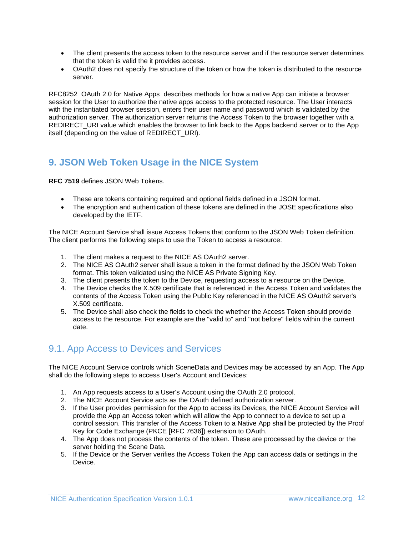- The client presents the access token to the resource server and if the resource server determines that the token is valid the it provides access.
- OAuth2 does not specify the structure of the token or how the token is distributed to the resource server.

RFC8252 OAuth 2.0 for Native Apps describes methods for how a native App can initiate a browser session for the User to authorize the native apps access to the protected resource. The User interacts with the instantiated browser session, enters their user name and password which is validated by the authorization server. The authorization server returns the Access Token to the browser together with a REDIRECT\_URI value which enables the browser to link back to the Apps backend server or to the App itself (depending on the value of REDIRECT\_URI).

### <span id="page-11-0"></span>**9. JSON Web Token Usage in the NICE System**

**RFC 7519** defines JSON Web Tokens.

- These are tokens containing required and optional fields defined in a JSON format.
- The encryption and authentication of these tokens are defined in the JOSE specifications also developed by the IETF.

The NICE Account Service shall issue Access Tokens that conform to the JSON Web Token definition. The client performs the following steps to use the Token to access a resource:

- 1. The client makes a request to the NICE AS OAuth2 server.
- 2. The NICE AS OAuth2 server shall issue a token in the format defined by the JSON Web Token format. This token validated using the NICE AS Private Signing Key.
- 3. The client presents the token to the Device, requesting access to a resource on the Device.
- 4. The Device checks the X.509 certificate that is referenced in the Access Token and validates the contents of the Access Token using the Public Key referenced in the NICE AS OAuth2 server's X.509 certificate.
- 5. The Device shall also check the fields to check the whether the Access Token should provide access to the resource. For example are the "valid to" and "not before" fields within the current date.

### <span id="page-11-1"></span>9.1. App Access to Devices and Services

The NICE Account Service controls which SceneData and Devices may be accessed by an App. The App shall do the following steps to access User's Account and Devices:

- 1. An App requests access to a User's Account using the OAuth 2.0 protocol.
- 2. The NICE Account Service acts as the OAuth defined authorization server.
- 3. If the User provides permission for the App to access its Devices, the NICE Account Service will provide the App an Access token which will allow the App to connect to a device to set up a control session. This transfer of the Access Token to a Native App shall be protected by the Proof Key for Code Exchange (PKCE [RFC 7636]) extension to OAuth.
- 4. The App does not process the contents of the token. These are processed by the device or the server holding the Scene Data.
- 5. If the Device or the Server verifies the Access Token the App can access data or settings in the Device.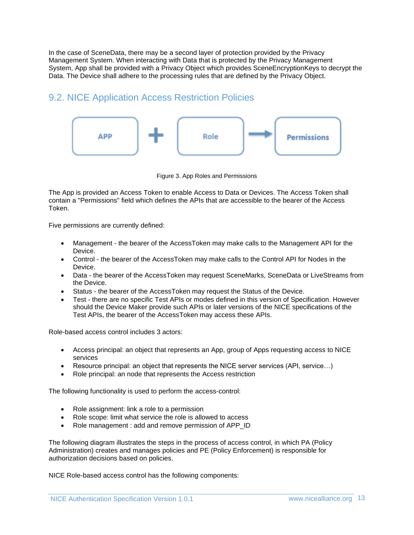In the case of SceneData, there may be a second layer of protection provided by the Privacy Management System. When interacting with Data that is protected by the Privacy Management System, App shall be provided with a Privacy Object which provides SceneEncryptionKeys to decrypt the Data. The Device shall adhere to the processing rules that are defined by the Privacy Object.

### <span id="page-12-0"></span>9.2. NICE Application Access Restriction Policies



Figure 3. App Roles and Permissions

The App is provided an Access Token to enable Access to Data or Devices. The Access Token shall contain a "Permissions" field which defines the APIs that are accessible to the bearer of the Access Token.

Five permissions are currently defined:

- Management the bearer of the AccessToken may make calls to the Management API for the Device.
- Control the bearer of the AccessToken may make calls to the Control API for Nodes in the Device.
- Data the bearer of the AccessToken may request SceneMarks, SceneData or LiveStreams from the Device.
- Status the bearer of the AccessToken may request the Status of the Device.
- Test there are no specific Test APIs or modes defined in this version of Specification. However should the Device Maker provide such APIs or later versions of the NICE specifications of the Test APIs, the bearer of the AccessToken may access these APIs.

Role-based access control includes 3 actors:

- Access principal: an object that represents an App, group of Apps requesting access to NICE services
- Resource principal: an object that represents the NICE server services (API, service…)
- Role principal: an node that represents the Access restriction

The following functionality is used to perform the access-control:

- Role assignment: link a role to a permission
- Role scope: limit what service the role is allowed to access
- Role management : add and remove permission of APP\_ID

The following diagram illustrates the steps in the process of access control, in which PA (Policy Administration) creates and manages policies and PE (Policy Enforcement) is responsible for authorization decisions based on policies.

NICE Role-based access control has the following components: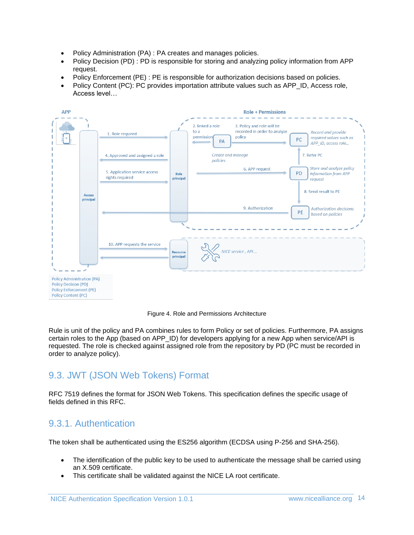- Policy Administration (PA) : PA creates and manages policies.
- Policy Decision (PD) : PD is responsible for storing and analyzing policy information from APP request.
- Policy Enforcement (PE) : PE is responsible for authorization decisions based on policies.
- Policy Content (PC): PC provides importation attribute values such as APP\_ID, Access role, Access level…



Figure 4. Role and Permissions Architecture

Rule is unit of the policy and PA combines rules to form Policy or set of policies. Furthermore, PA assigns certain roles to the App (based on APP\_ID) for developers applying for a new App when service/API is requested. The role is checked against assigned role from the repository by PD (PC must be recorded in order to analyze policy).

### <span id="page-13-0"></span>9.3. JWT (JSON Web Tokens) Format

RFC 7519 defines the format for JSON Web Tokens. This specification defines the specific usage of fields defined in this RFC.

### <span id="page-13-1"></span>9.3.1. Authentication

The token shall be authenticated using the ES256 algorithm (ECDSA using P-256 and SHA-256).

- The identification of the public key to be used to authenticate the message shall be carried using an X.509 certificate.
- This certificate shall be validated against the NICE LA root certificate.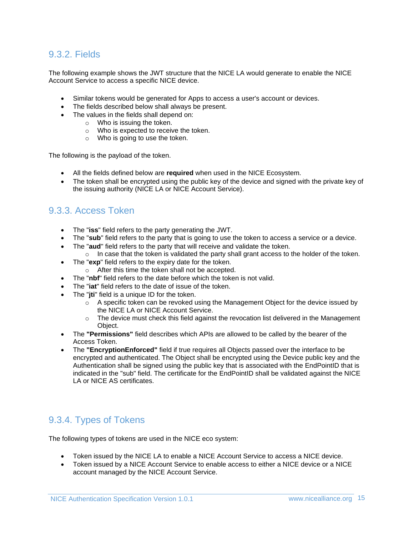### <span id="page-14-0"></span>9.3.2. Fields

The following example shows the JWT structure that the NICE LA would generate to enable the NICE Account Service to access a specific NICE device.

- Similar tokens would be generated for Apps to access a user's account or devices.
- The fields described below shall always be present.
- The values in the fields shall depend on:
	- o Who is issuing the token.
	- o Who is expected to receive the token.
	- o Who is going to use the token.

The following is the payload of the token.

- All the fields defined below are **required** when used in the NICE Ecosystem.
- The token shall be encrypted using the public key of the device and signed with the private key of the issuing authority (NICE LA or NICE Account Service).

### <span id="page-14-1"></span>9.3.3. Access Token

- The "**iss**" field refers to the party generating the JWT.
- The "**sub**" field refers to the party that is going to use the token to access a service or a device.
- The "**aud**" field refers to the party that will receive and validate the token.
- $\circ$  In case that the token is validated the party shall grant access to the holder of the token.
- The "**exp**" field refers to the expiry date for the token.
	- o After this time the token shall not be accepted.
- The "**nbf**" field refers to the date before which the token is not valid.
- The "**iat**" field refers to the date of issue of the token.
- The "**iti**" field is a unique ID for the token.
	- $\circ$  A specific token can be revoked using the Management Object for the device issued by the NICE LA or NICE Account Service.
	- $\circ$  The device must check this field against the revocation list delivered in the Management Object.
- The **"Permissions"** field describes which APIs are allowed to be called by the bearer of the Access Token.
- The **"EncryptionEnforced"** field if true requires all Objects passed over the interface to be encrypted and authenticated. The Object shall be encrypted using the Device public key and the Authentication shall be signed using the public key that is associated with the EndPointID that is indicated in the "sub" field. The certificate for the EndPointID shall be validated against the NICE LA or NICE AS certificates.

### <span id="page-14-2"></span>9.3.4. Types of Tokens

The following types of tokens are used in the NICE eco system:

- Token issued by the NICE LA to enable a NICE Account Service to access a NICE device.
- Token issued by a NICE Account Service to enable access to either a NICE device or a NICE account managed by the NICE Account Service.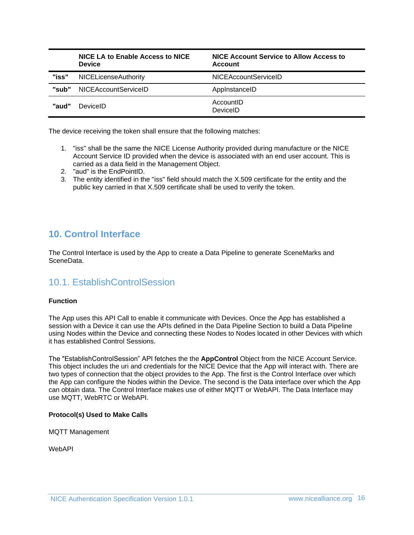|       | NICE LA to Enable Access to NICE<br><b>Device</b> | NICE Account Service to Allow Access to<br>Account |
|-------|---------------------------------------------------|----------------------------------------------------|
| "iss" | <b>NICELicenseAuthority</b>                       | NICEAccountServiceID                               |
| "sub" | NICEAccountServiceID                              | AppInstanceID                                      |
| "aud" | DeviceID                                          | AccountID<br>DeviceID                              |

The device receiving the token shall ensure that the following matches:

- 1. "iss" shall be the same the NICE License Authority provided during manufacture or the NICE Account Service ID provided when the device is associated with an end user account. This is carried as a data field in the Management Object.
- 2. "aud" is the EndPointID.
- 3. The entity identified in the "iss" field should match the X.509 certificate for the entity and the public key carried in that X.509 certificate shall be used to verify the token.

### <span id="page-15-0"></span>**10. Control Interface**

The Control Interface is used by the App to create a Data Pipeline to generate SceneMarks and SceneData.

### <span id="page-15-1"></span>10.1. EstablishControlSession

#### **Function**

The App uses this API Call to enable it communicate with Devices. Once the App has established a session with a Device it can use the APIs defined in the Data Pipeline Section to build a Data Pipeline using Nodes within the Device and connecting these Nodes to Nodes located in other Devices with which it has established Control Sessions.

The "EstablishControlSession" API fetches the the **AppControl** Object from the NICE Account Service. This object includes the uri and credentials for the NICE Device that the App will interact with. There are two types of connection that the object provides to the App. The first is the Control Interface over which the App can configure the Nodes within the Device. The second is the Data interface over which the App can obtain data. The Control Interface makes use of either MQTT or WebAPI. The Data Interface may use MQTT, WebRTC or WebAPI.

#### **Protocol(s) Used to Make Calls**

MQTT Management

WebAPI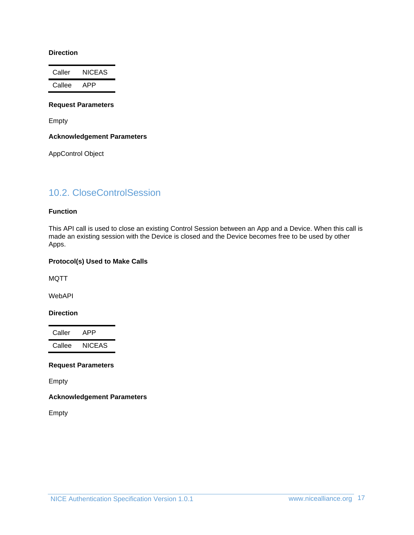#### **Direction**

Caller NICEAS Callee APP

#### **Request Parameters**

Empty

#### **Acknowledgement Parameters**

AppControl Object

### <span id="page-16-0"></span>10.2. CloseControlSession

#### **Function**

This API call is used to close an existing Control Session between an App and a Device. When this call is made an existing session with the Device is closed and the Device becomes free to be used by other Apps.

#### **Protocol(s) Used to Make Calls**

MQTT

WebAPI

#### **Direction**

Caller APP Callee NICEAS

#### **Request Parameters**

Empty

### **Acknowledgement Parameters**

Empty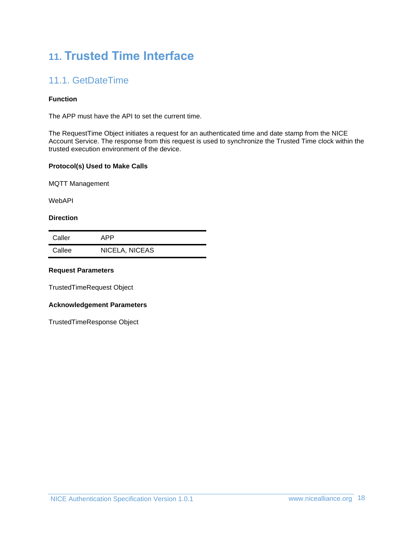# <span id="page-17-0"></span>**11. Trusted Time Interface**

## <span id="page-17-1"></span>11.1. GetDateTime

### **Function**

The APP must have the API to set the current time.

The RequestTime Object initiates a request for an authenticated time and date stamp from the NICE Account Service. The response from this request is used to synchronize the Trusted Time clock within the trusted execution environment of the device.

#### **Protocol(s) Used to Make Calls**

MQTT Management

WebAPI

#### **Direction**

| Caller | APP            |
|--------|----------------|
| Callee | NICELA, NICEAS |

#### **Request Parameters**

TrustedTimeRequest Object

#### **Acknowledgement Parameters**

TrustedTimeResponse Object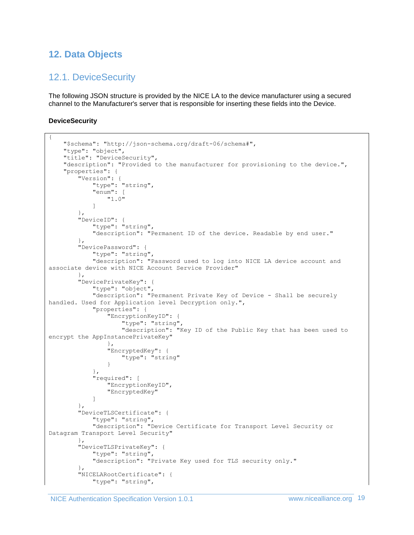### <span id="page-18-1"></span><span id="page-18-0"></span>**12. Data Objects**

### 12.1. DeviceSecurity

The following JSON structure is provided by the NICE LA to the device manufacturer using a secured channel to the Manufacturer's server that is responsible for inserting these fields into the Device.

### **DeviceSecurity**

```
{
     "$schema": "http://json-schema.org/draft-06/schema#",
     "type": "object",
     "title": "DeviceSecurity",
     "description": "Provided to the manufacturer for provisioning to the device.",
     "properties": {
         "Version": {
             "type": "string",
             "enum": [
                 "1.0"
 ]
         },
         "DeviceID": {
             "type": "string",
             "description": "Permanent ID of the device. Readable by end user."
         },
         "DevicePassword": {
             "type": "string",
             "description": "Password used to log into NICE LA device account and 
associate device with NICE Account Service Provider"
         },
         "DevicePrivateKey": {
             "type": "object",
             "description": "Permanent Private Key of Device - Shall be securely 
handled. Used for Application level Decryption only.",
             "properties": {
                 "EncryptionKeyID": {
                      "type": "string",
                      "description": "Key ID of the Public Key that has been used to 
encrypt the AppInstancePrivateKey"
                 },
                 "EncryptedKey": {
                      "type": "string"
 }
             },
             "required": [
                 "EncryptionKeyID",
                 "EncryptedKey"
 ]
         },
         "DeviceTLSCertificate": {
             "type": "string",
             "description": "Device Certificate for Transport Level Security or 
Datagram Transport Level Security"
         },
         "DeviceTLSPrivateKey": {
             "type": "string",
             "description": "Private Key used for TLS security only."
         },
         "NICELARootCertificate": {
             "type": "string",
```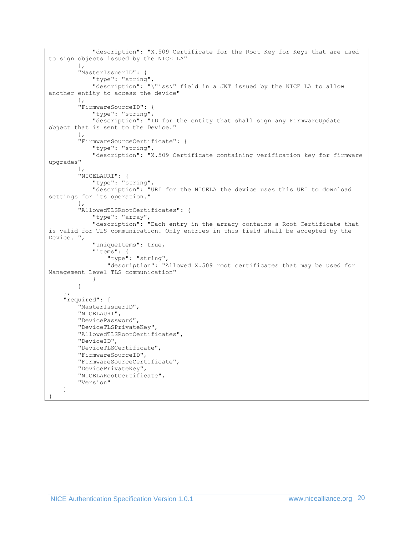```
 "description": "X.509 Certificate for the Root Key for Keys that are used 
to sign objects issued by the NICE LA"
         },
         "MasterIssuerID": {
             "type": "string",
             "description": "\"iss\" field in a JWT issued by the NICE LA to allow 
another entity to access the device"
         },
         "FirmwareSourceID": {
             "type": "string",
             "description": "ID for the entity that shall sign any FirmwareUpdate 
object that is sent to the Device."
         },
         "FirmwareSourceCertificate": {
             "type": "string",
             "description": "X.509 Certificate containing verification key for firmware 
upgrades"
         },
         "NICELAURI": {
             "type": "string",
             "description": "URI for the NICELA the device uses this URI to download 
settings for its operation."
         },
         "AllowedTLSRootCertificates": {
             "type": "array",
             "description": "Each entry in the arracy contains a Root Certificate that 
is valid for TLS communication. Only entries in this field shall be accepted by the 
Device. ",
             "uniqueItems": true,
             "items": {
                  "type": "string",
                  "description": "Allowed X.509 root certificates that may be used for 
Management Level TLS communication"
 }
         }
     },
     "required": [
         "MasterIssuerID",
         "NICELAURI",
         "DevicePassword",
         "DeviceTLSPrivateKey",
         "AllowedTLSRootCertificates",
         "DeviceID",
         "DeviceTLSCertificate",
         "FirmwareSourceID",
         "FirmwareSourceCertificate",
         "DevicePrivateKey",
         "NICELARootCertificate",
         "Version"
     ]
}
```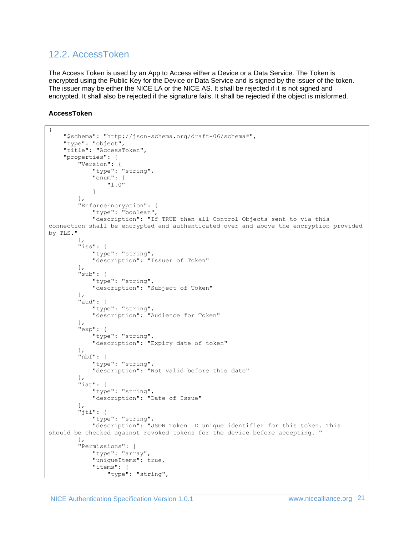### <span id="page-20-0"></span>12.2. AccessToken

The Access Token is used by an App to Access either a Device or a Data Service. The Token is encrypted using the Public Key for the Device or Data Service and is signed by the issuer of the token. The issuer may be either the NICE LA or the NICE AS. It shall be rejected if it is not signed and encrypted. It shall also be rejected if the signature fails. It shall be rejected if the object is misformed.

#### **AccessToken**

```
{
     "$schema": "http://json-schema.org/draft-06/schema#",
     "type": "object",
     "title": "AccessToken",
     "properties": {
         "Version": {
             "type": "string",
             "enum": [
                 "1.0"
 ]
         },
         "EnforceEncryption": {
             "type": "boolean",
             "description": "If TRUE then all Control Objects sent to via this 
connection shall be encrypted and authenticated over and above the encryption provided 
by TLS."
 },
 "iss": {
             "type": "string",
             "description": "Issuer of Token"
         },
         "sub": {
             "type": "string",
             "description": "Subject of Token"
         },
         "aud": {
             "type": "string",
             "description": "Audience for Token"
         },
         "exp": {
             "type": "string",
             "description": "Expiry date of token"
         },
         "nbf": {
             "type": "string",
             "description": "Not valid before this date"
 },
        ..<br>"iat": {
             "type": "string",
             "description": "Date of Issue"
         },
         "jti": {
             "type": "string",
             "description": "JSON Token ID unique identifier for this token. This 
should be checked against revoked tokens for the device before accepting. "
         },
         "Permissions": {
             "type": "array",
             "uniqueItems": true,
             "items": {
                 "type": "string",
```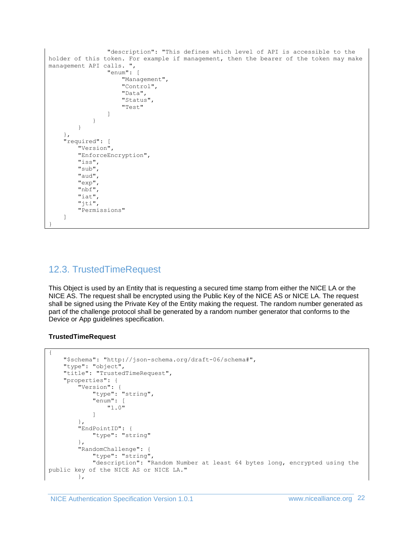```
 "description": "This defines which level of API is accessible to the 
holder of this token. For example if management, then the bearer of the token may make 
management API calls. ",
                 "enum": [
                     "Management",
                    "Control",
                    "Data",
                    "Status",
                    "Test"
 ]
 }
         }
     },
     "required": [
         "Version",
         "EnforceEncryption",
         "iss",
         "sub",
         "aud",
         "exp",
         "nbf",
         "iat",
         "jti",
         "Permissions"
     ]
}
```
### <span id="page-21-0"></span>12.3. TrustedTimeRequest

This Object is used by an Entity that is requesting a secured time stamp from either the NICE LA or the NICE AS. The request shall be encrypted using the Public Key of the NICE AS or NICE LA. The request shall be signed using the Private Key of the Entity making the request. The random number generated as part of the challenge protocol shall be generated by a random number generator that conforms to the Device or App guidelines specification.

### **TrustedTimeRequest**

```
{
     "$schema": "http://json-schema.org/draft-06/schema#",
     "type": "object",
     "title": "TrustedTimeRequest",
     "properties": {
 "Version": {
 "type": "string",
             "enum": [
                "1.0"
 ]
         },
         "EndPointID": {
             "type": "string"
         },
         "RandomChallenge": {
             "type": "string",
             "description": "Random Number at least 64 bytes long, encrypted using the 
public key of the NICE AS or NICE LA."
        },
```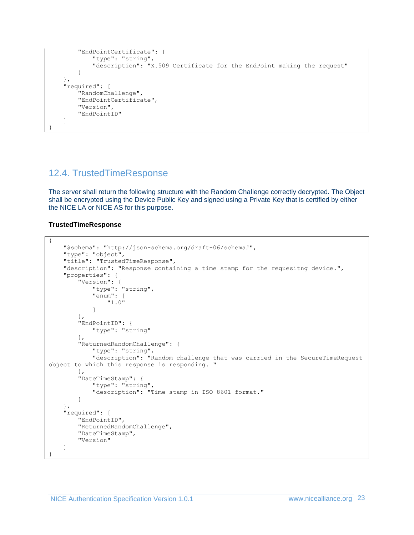```
 "EndPointCertificate": {
              "type": "string",
              "description": "X.509 Certificate for the EndPoint making the request"
         }
     },
     "required": [
         "RandomChallenge",
         "EndPointCertificate",
         "Version",
         "EndPointID"
     ]
}
```
### <span id="page-22-0"></span>12.4. TrustedTimeResponse

The server shall return the following structure with the Random Challenge correctly decrypted. The Object shall be encrypted using the Device Public Key and signed using a Private Key that is certified by either the NICE LA or NICE AS for this purpose.

#### **TrustedTimeResponse**

```
{
     "$schema": "http://json-schema.org/draft-06/schema#",
     "type": "object",
     "title": "TrustedTimeResponse",
     "description": "Response containing a time stamp for the requesitng device.",
     "properties": {
         "Version": {
             "type": "string",
             "enum": [
                 "1.0"
 ]
         },
         "EndPointID": {
             "type": "string"
         },
         "ReturnedRandomChallenge": {
            "type": "string",
             "description": "Random challenge that was carried in the SecureTimeRequest 
object to which this response is responding. "
         },
         "DateTimeStamp": {
             "type": "string",
             "description": "Time stamp in ISO 8601 format."
         }
     },
     "required": [
         "EndPointID",
         "ReturnedRandomChallenge",
         "DateTimeStamp",
         "Version"
     ]
}
```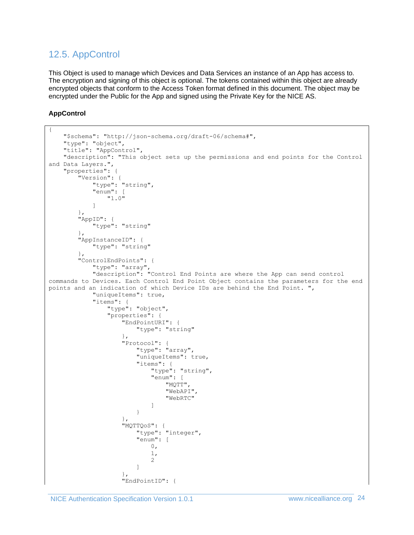### <span id="page-23-0"></span>12.5. AppControl

This Object is used to manage which Devices and Data Services an instance of an App has access to. The encryption and signing of this object is optional. The tokens contained within this object are already encrypted objects that conform to the Access Token format defined in this document. The object may be encrypted under the Public for the App and signed using the Private Key for the NICE AS.

### **AppControl**

```
{
     "$schema": "http://json-schema.org/draft-06/schema#",
     "type": "object",
     "title": "AppControl",
     "description": "This object sets up the permissions and end points for the Control 
and Data Layers.",
     "properties": {
         "Version": {
              "type": "string",
              "enum": [
                  "1.0"
 ]
         },
         "AppID": {
              "type": "string"
         },
         "AppInstanceID": {
              "type": "string"
         },
         "ControlEndPoints": {
              "type": "array",
              "description": "Control End Points are where the App can send control 
commands to Devices. Each Control End Point Object contains the parameters for the end 
points and an indication of which Device IDs are behind the End Point. ",
              "uniqueItems": true,
              "items": {
                  "type": "object",
                  "properties": {
                      "EndPointURI": {
                           "type": "string"
 },
                      "Protocol": {
                           "type": "array",
                          "uniqueItems": true,
                          "items": {
                               "type": "string",
                              "enum": [
                                    "MQTT",
                                   "WebAPI",
                                    "WebRTC"
\overline{\phantom{a}} }
 },
                      "MQTTQoS": {
                           "type": "integer",
                          "enum": [<br>0,
\mathfrak{0},1, 2
\sim 100 \sim 100 \sim 100 \sim 100 \sim 100 \sim 100 \sim 100 \sim 100 \sim 100 \sim 100 \sim 100 \sim 100 \sim 100 \sim 100 \sim 100 \sim 100 \sim 100 \sim 100 \sim 100 \sim 100 \sim 100 \sim 100 \sim 100 \sim 100 \sim 
 },
                      "EndPointID": {
```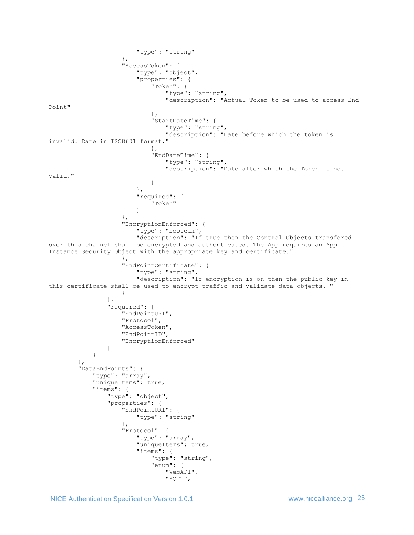```
 "type": "string"
 },
                     "AccessToken": {
                          "type": "object",
                          "properties": {
                              "Token": {
                                  "type": "string",
                                 "description": "Actual Token to be used to access End 
Point"
 },
                             "StartDateTime": {
                                 "type": "string",
                                 "description": "Date before which the token is
invalid. Date in ISO8601 format."
 },
                             "EndDateTime": {
                                  "type": "string",
                                 "description": "Date after which the Token is not 
valid."
 }
 },
                         "required": [
                              "Token"
\sim 100 \sim 100 \sim 100 \sim 100 \sim 100 \sim 100 \sim 100 \sim 100 \sim 100 \sim 100 \sim 100 \sim 100 \sim 100 \sim 100 \sim 100 \sim 100 \sim 100 \sim 100 \sim 100 \sim 100 \sim 100 \sim 100 \sim 100 \sim 100 \sim 
 },
                     "EncryptionEnforced": {
                          "type": "boolean",
                         "description": "If true then the Control Objects transfered 
over this channel shall be encrypted and authenticated. The App requires an App 
Instance Security Object with the appropriate key and certificate."
 },
                     "EndPointCertificate": {
                          "type": "string",
                         "description": "If encryption is on then the public key in 
this certificate shall be used to encrypt traffic and validate data objects. "
 }
                 },
                 "required": [
                     "EndPointURI",
                    "Protocol",
                    "AccessToken",
                    "EndPointID",
                    "EncryptionEnforced"
 ]
             }
         },
         "DataEndPoints": {
             "type": "array",
             "uniqueItems": true,
             "items": {
                 "type": "object",
                 "properties": {
                     "EndPointURI": {
                          "type": "string"
 },
                     "Protocol": {
                          "type": "array",
                         "uniqueItems": true,
                         "items": {
                              "type": "string",
                             "enum": [
                                  "WebAPI",
                                 "MQTT",
```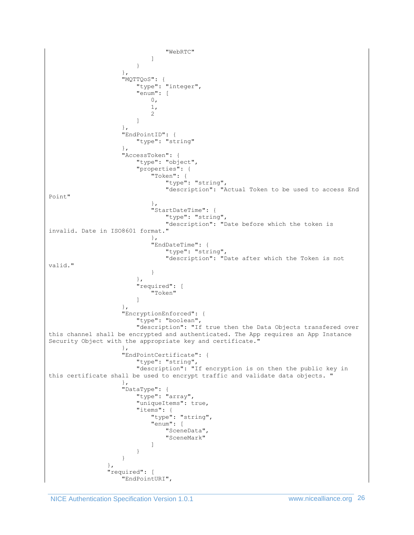```
 "WebRTC"
\overline{\phantom{a}} }
 },
                      "MQTTQoS": {
                           "type": "integer",
                          "enum": [
\mathfrak{0},1,
                               2
\sim 100 \sim 100 \sim 100 \sim 100 \sim 100 \sim 100 \sim 100 \sim 100 \sim 100 \sim 100 \sim 100 \sim 100 \sim 100 \sim 100 \sim 100 \sim 100 \sim 100 \sim 100 \sim 100 \sim 100 \sim 100 \sim 100 \sim 100 \sim 100 \sim 
 },
                      "EndPointID": {
                           "type": "string"
                       },
                      "AccessToken": {
                           "type": "object",
                           "properties": {
                                "Token": {
                                    "type": "string",
                                   "description": "Actual Token to be used to access End 
Point"
  },
                                "StartDateTime": {
                                    "type": "string",
                                   "description": "Date before which the token is 
invalid. Date in ISO8601 format."
 },
                                "EndDateTime": {
                                    "type": "string",
                                   "description": "Date after which the Token is not 
valid."
 }
 },
                          "required": [
                                "Token"
\sim 100 \sim 100 \sim 100 \sim 100 \sim 100 \sim 100 \sim 100 \sim 100 \sim 100 \sim 100 \sim 100 \sim 100 \sim 100 \sim 100 \sim 100 \sim 100 \sim 100 \sim 100 \sim 100 \sim 100 \sim 100 \sim 100 \sim 100 \sim 100 \sim 
 },
                      "EncryptionEnforced": {
                          "type": "boolean",
                          "description": "If true then the Data Objects transfered over 
this channel shall be encrypted and authenticated. The App requires an App Instance 
Security Object with the appropriate key and certificate."
 },
                       "EndPointCertificate": {
                          "type": "string",
                          "description": "If encryption is on then the public key in 
this certificate shall be used to encrypt traffic and validate data objects. "
 },
                       "DataType": {
                           "type": "array",
                          "uniqueItems": true,
                          "items": {
                                "type": "string",
                               "enum": [
                                    "SceneData",
                                    "SceneMark"
\overline{\phantom{a}} }
 }
 },
                  "required": [
                       "EndPointURI",
```